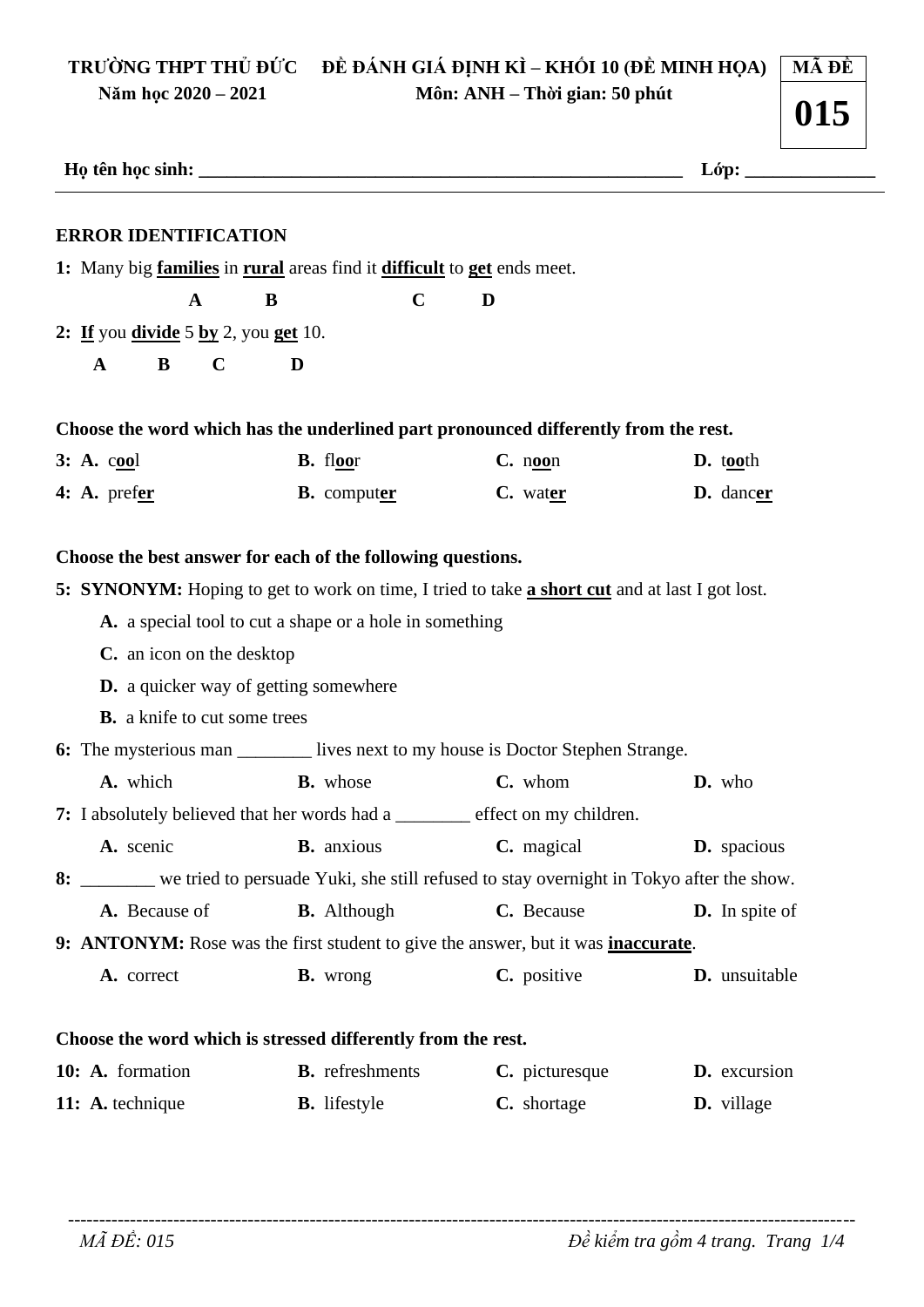#### TRƯỜNG THPT THỦ ĐỨC ĐỀ ĐÁNH GIÁ ĐỊNH KÌ – KHỐI 10 (ĐỀ MINH HỌA) **MÃ ĐỀ** Năm học 2020 – 2021 Môn: ANH - Thời gian: 50 phút

| <b>ERROR IDENTIFICATION</b>                                                                         |                                                         |                                                                                                                 |                       |
|-----------------------------------------------------------------------------------------------------|---------------------------------------------------------|-----------------------------------------------------------------------------------------------------------------|-----------------------|
| 1: Many big <b>families</b> in <b>rural</b> areas find it <b>difficult</b> to <b>get</b> ends meet. |                                                         |                                                                                                                 |                       |
| $\mathbf{A}$                                                                                        | $\mathbf C$<br>B                                        | D                                                                                                               |                       |
| 2: If you divide $5 \underline{ by } 2$ , you get 10.                                               |                                                         |                                                                                                                 |                       |
| $\mathbf C$<br>B<br>$\mathbf{A}$                                                                    | D                                                       |                                                                                                                 |                       |
|                                                                                                     |                                                         | Choose the word which has the underlined part pronounced differently from the rest.                             |                       |
| $3: A.$ cool                                                                                        | <b>B.</b> floor                                         | $C.$ noon                                                                                                       | $\mathbf{D.}$ tooth   |
| 4: A. prefer                                                                                        | <b>B.</b> computer                                      | C. water                                                                                                        | D. dancer             |
| C. an icon on the desktop<br><b>D.</b> a quicker way of getting somewhere                           | A. a special tool to cut a shape or a hole in something |                                                                                                                 |                       |
| <b>B.</b> a knife to cut some trees                                                                 |                                                         | 6: The mysterious man ________ lives next to my house is Doctor Stephen Strange.                                |                       |
| A. which                                                                                            | <b>B.</b> whose                                         | C. whom                                                                                                         | D. who                |
|                                                                                                     |                                                         |                                                                                                                 |                       |
| A. scenic                                                                                           | <b>B.</b> anxious                                       | us <b>C.</b> magical                                                                                            | D. spacious           |
| A. Because of                                                                                       | <b>B.</b> Although                                      | 8: ______ we tried to persuade Yuki, she still refused to stay overnight in Tokyo after the show.<br>C. Because | <b>D.</b> In spite of |
|                                                                                                     |                                                         | 9: ANTONYM: Rose was the first student to give the answer, but it was <i>inaccurate</i> .                       |                       |
| 7: I absolutely believed that her words had a _______ effect on my children.<br>A. correct          | <b>B.</b> wrong                                         | C. positive                                                                                                     | D. unsuitable         |
|                                                                                                     |                                                         |                                                                                                                 |                       |
| Choose the word which is stressed differently from the rest.<br>10: A. formation                    | <b>B.</b> refreshments                                  | C. picturesque                                                                                                  | D. excursion          |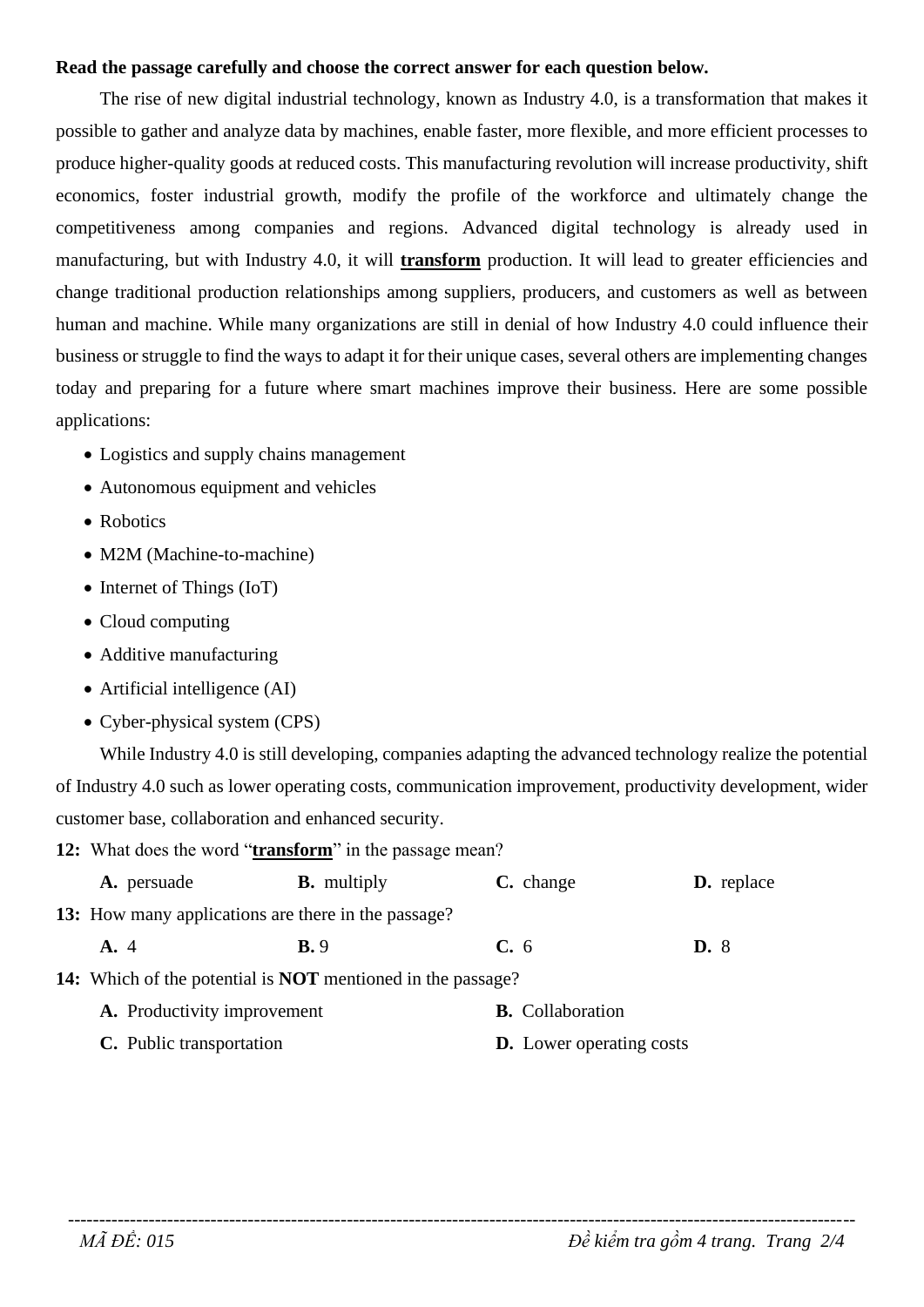#### Read the passage carefully and choose the correct answer for each question below.

The rise of new digital industrial technology, known as Industry 4.0, is a transformation that makes it possible to gather and analyze data by machines, enable faster, more flexible, and more efficient processes to produce higher-quality goods at reduced costs. This manufacturing revolution will increase productivity, shift economics, foster industrial growth, modify the profile of the workforce and ultimately change the competitiveness among companies and regions. Advanced digital technology is already used in manufacturing, but with Industry 4.0, it will **transform** production. It will lead to greater efficiencies and change traditional production relationships among suppliers, producers, and customers as well as between human and machine. While many organizations are still in denial of how Industry 4.0 could influence their business or struggle to find the ways to adapt it for their unique cases, several others are implementing changes today and preparing for a future where smart machines improve their business. Here are some possible applications:

- Logistics and supply chains management
- Autonomous equipment and vehicles
- Robotics
- M2M (Machine-to-machine)
- $\bullet$  Internet of Things (IoT)
- $\bullet$  Cloud computing
- Additive manufacturing
- $\bullet$  Artificial intelligence (AI)
- Cyber-physical system (CPS)

While Industry 4.0 is still developing, companies adapting the advanced technology realize the potential of Industry 4.0 such as lower operating costs, communication improvement, productivity development, wider customer base, collaboration and enhanced security.

12: What does the word "transform" in the passage mean?

| A. persuade                                                               | <b>B.</b> multiply | C. change                       |             | <b>D.</b> replace |
|---------------------------------------------------------------------------|--------------------|---------------------------------|-------------|-------------------|
| <b>13:</b> How many applications are there in the passage?                |                    |                                 |             |                   |
| A. 4                                                                      | <b>B.</b> 9        | $C_{\bullet}$ 6                 | <b>D.</b> 8 |                   |
| <b>14:</b> Which of the potential is <b>NOT</b> mentioned in the passage? |                    |                                 |             |                   |
| A. Productivity improvement                                               |                    | <b>B.</b> Collaboration         |             |                   |
| C. Public transportation                                                  |                    | <b>D.</b> Lower operating costs |             |                   |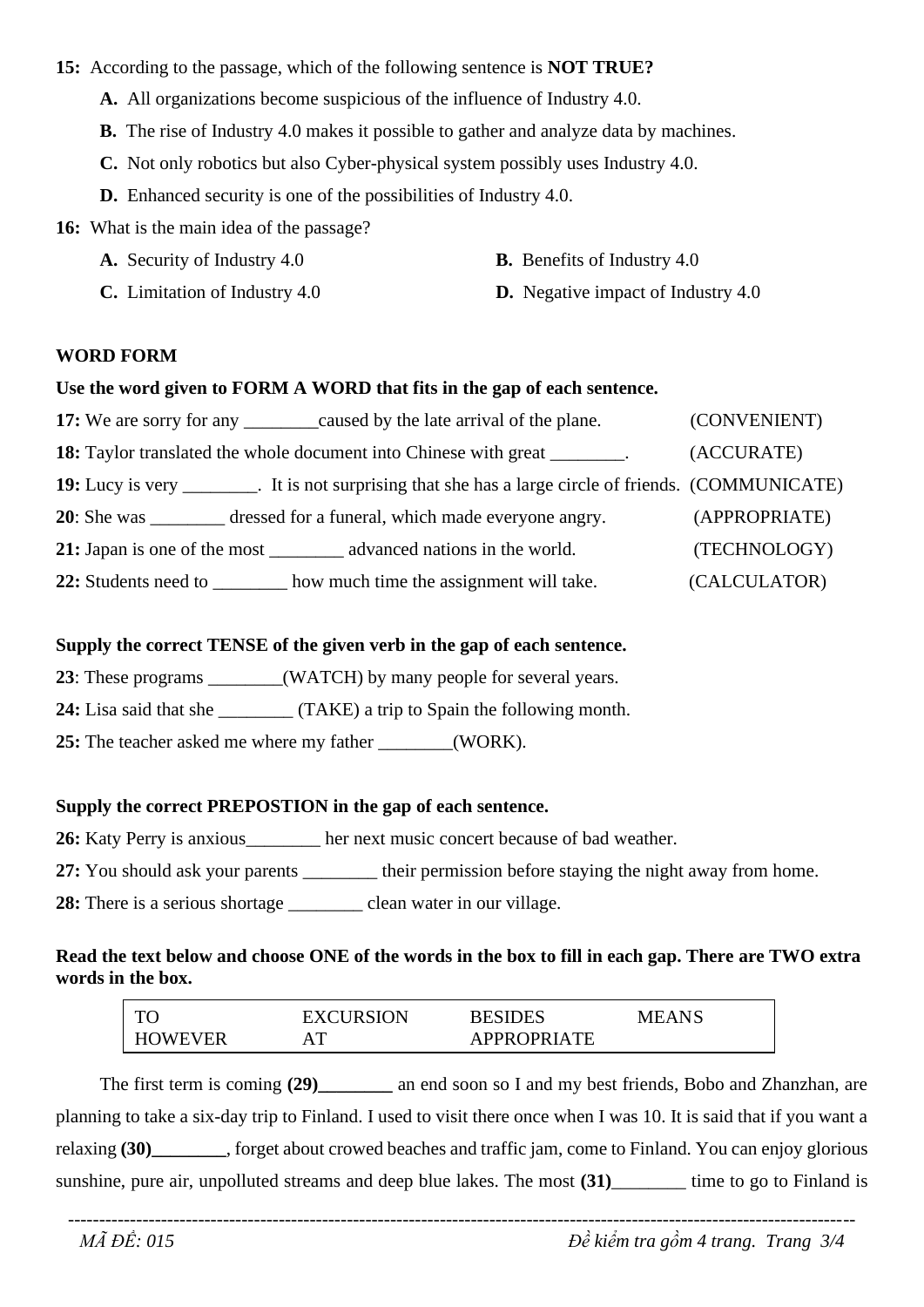#### 15: According to the passage, which of the following sentence is **NOT TRUE?**

- A. All organizations become suspicious of the influence of Industry 4.0.
- **B.** The rise of Industry 4.0 makes it possible to gather and analyze data by machines.
- C. Not only robotics but also Cyber-physical system possibly uses Industry 4.0.
- **D.** Enhanced security is one of the possibilities of Industry 4.0.

16: What is the main idea of the passage?

A. Security of Industry 4.0

- **B.** Benefits of Industry 4.0
- C. Limitation of Industry 4.0 **D.** Negative impact of Industry 4.0

#### **WORD FORM**

#### Use the word given to FORM A WORD that fits in the gap of each sentence.

| 17: We are sorry for any <u>caused</u> by the late arrival of the plane.                              | (CONVENIENT)  |
|-------------------------------------------------------------------------------------------------------|---------------|
| <b>18:</b> Taylor translated the whole document into Chinese with great ________.                     | (ACCURATE)    |
| 19: Lucy is very ________. It is not surprising that she has a large circle of friends. (COMMUNICATE) |               |
| dressed for a funeral, which made everyone angry.<br>$20:$ She was                                    | (APPROPRIATE) |
|                                                                                                       | (TECHNOLOGY)  |
| how much time the assignment will take.<br>22: Students need to                                       | (CALCULATOR)  |

#### Supply the correct TENSE of the given verb in the gap of each sentence.

23: These programs (WATCH) by many people for several years.

24: Lisa said that she \_\_\_\_\_\_\_\_\_ (TAKE) a trip to Spain the following month.

25: The teacher asked me where my father \_\_\_\_\_\_\_\_(WORK).

## Supply the correct PREPOSTION in the gap of each sentence.

26: Katy Perry is anxious her next music concert because of bad weather.

27: You should ask your parents \_\_\_\_\_\_\_ their permission before staying the night away from home.

28: There is a serious shortage \_\_\_\_\_\_\_\_\_\_\_ clean water in our village.

## Read the text below and choose ONE of the words in the box to fill in each gap. There are TWO extra words in the box.

| $\mathbf{T}$    | <b>EXCURSION</b>    | <b>BESIDES</b>     | MEANS |
|-----------------|---------------------|--------------------|-------|
| <b>FIOWEVER</b> | $A^{\mathbf{\tau}}$ | <b>APPROPRIATE</b> |       |

The first term is coming (29) \_\_\_\_\_\_\_\_\_ an end soon so I and my best friends, Bobo and Zhanzhan, are planning to take a six-day trip to Finland. I used to visit there once when I was 10. It is said that if you want a relaxing (30) forget about crowed beaches and traffic jam, come to Finland. You can enjoy glorious sunshine, pure air, unpolluted streams and deep blue lakes. The most (31)\_\_\_\_\_\_\_ time to go to Finland is